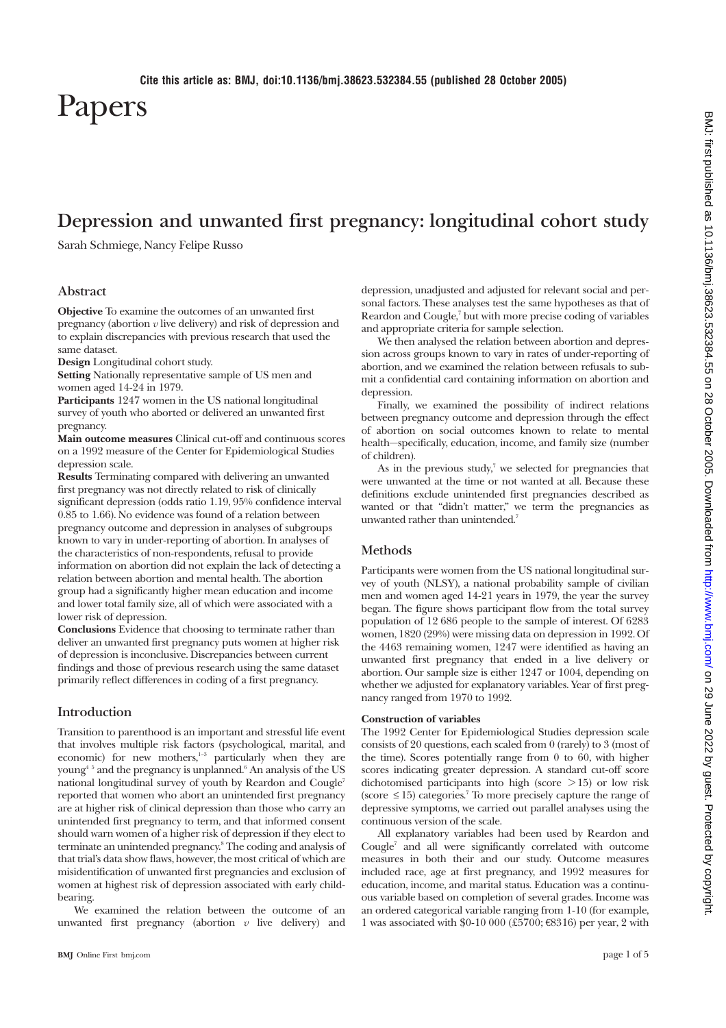Papers

# **Depression and unwanted first pregnancy: longitudinal cohort study**

Sarah Schmiege, Nancy Felipe Russo

# **Abstract**

**Objective** To examine the outcomes of an unwanted first pregnancy (abortion *v* live delivery) and risk of depression and to explain discrepancies with previous research that used the same dataset.

**Design** Longitudinal cohort study.

**Setting** Nationally representative sample of US men and women aged 14-24 in 1979.

**Participants** 1247 women in the US national longitudinal survey of youth who aborted or delivered an unwanted first pregnancy.

**Main outcome measures** Clinical cut-off and continuous scores on a 1992 measure of the Center for Epidemiological Studies depression scale.

**Results** Terminating compared with delivering an unwanted first pregnancy was not directly related to risk of clinically significant depression (odds ratio 1.19, 95% confidence interval 0.85 to 1.66). No evidence was found of a relation between pregnancy outcome and depression in analyses of subgroups known to vary in under-reporting of abortion. In analyses of the characteristics of non-respondents, refusal to provide information on abortion did not explain the lack of detecting a relation between abortion and mental health. The abortion group had a significantly higher mean education and income and lower total family size, all of which were associated with a lower risk of depression.

**Conclusions** Evidence that choosing to terminate rather than deliver an unwanted first pregnancy puts women at higher risk of depression is inconclusive. Discrepancies between current findings and those of previous research using the same dataset primarily reflect differences in coding of a first pregnancy.

## **Introduction**

Transition to parenthood is an important and stressful life event that involves multiple risk factors (psychological, marital, and economic) for new mothers, $1-3$  particularly when they are young<sup>45</sup> and the pregnancy is unplanned.<sup>6</sup> An analysis of the US national longitudinal survey of youth by Reardon and Cougle7 reported that women who abort an unintended first pregnancy are at higher risk of clinical depression than those who carry an unintended first pregnancy to term, and that informed consent should warn women of a higher risk of depression if they elect to terminate an unintended pregnancy.8 The coding and analysis of that trial's data show flaws, however, the most critical of which are misidentification of unwanted first pregnancies and exclusion of women at highest risk of depression associated with early childbearing.

We examined the relation between the outcome of an unwanted first pregnancy (abortion  $v$  live delivery) and depression, unadjusted and adjusted for relevant social and personal factors. These analyses test the same hypotheses as that of Reardon and Cougle,<sup>7</sup> but with more precise coding of variables and appropriate criteria for sample selection.

We then analysed the relation between abortion and depression across groups known to vary in rates of under-reporting of abortion, and we examined the relation between refusals to submit a confidential card containing information on abortion and depression.

Finally, we examined the possibility of indirect relations between pregnancy outcome and depression through the effect of abortion on social outcomes known to relate to mental health—specifically, education, income, and family size (number of children).

As in the previous study, $7$  we selected for pregnancies that were unwanted at the time or not wanted at all. Because these definitions exclude unintended first pregnancies described as wanted or that "didn't matter," we term the pregnancies as unwanted rather than unintended.<sup>7</sup>

## **Methods**

Participants were women from the US national longitudinal survey of youth (NLSY), a national probability sample of civilian men and women aged 14-21 years in 1979, the year the survey began. The figure shows participant flow from the total survey population of 12 686 people to the sample of interest. Of 6283 women, 1820 (29%) were missing data on depression in 1992. Of the 4463 remaining women, 1247 were identified as having an unwanted first pregnancy that ended in a live delivery or abortion. Our sample size is either 1247 or 1004, depending on whether we adjusted for explanatory variables. Year of first pregnancy ranged from 1970 to 1992.

#### **Construction of variables**

The 1992 Center for Epidemiological Studies depression scale consists of 20 questions, each scaled from 0 (rarely) to 3 (most of the time). Scores potentially range from 0 to 60, with higher scores indicating greater depression. A standard cut-off score dichotomised participants into high (score  $>15$ ) or low risk (score  $\leq$  15) categories.<sup>7</sup> To more precisely capture the range of depressive symptoms, we carried out parallel analyses using the continuous version of the scale.

All explanatory variables had been used by Reardon and Cougle7 and all were significantly correlated with outcome measures in both their and our study. Outcome measures included race, age at first pregnancy, and 1992 measures for education, income, and marital status. Education was a continuous variable based on completion of several grades. Income was an ordered categorical variable ranging from 1-10 (for example, 1 was associated with \$0-10 000 (£5700; €8316) per year, 2 with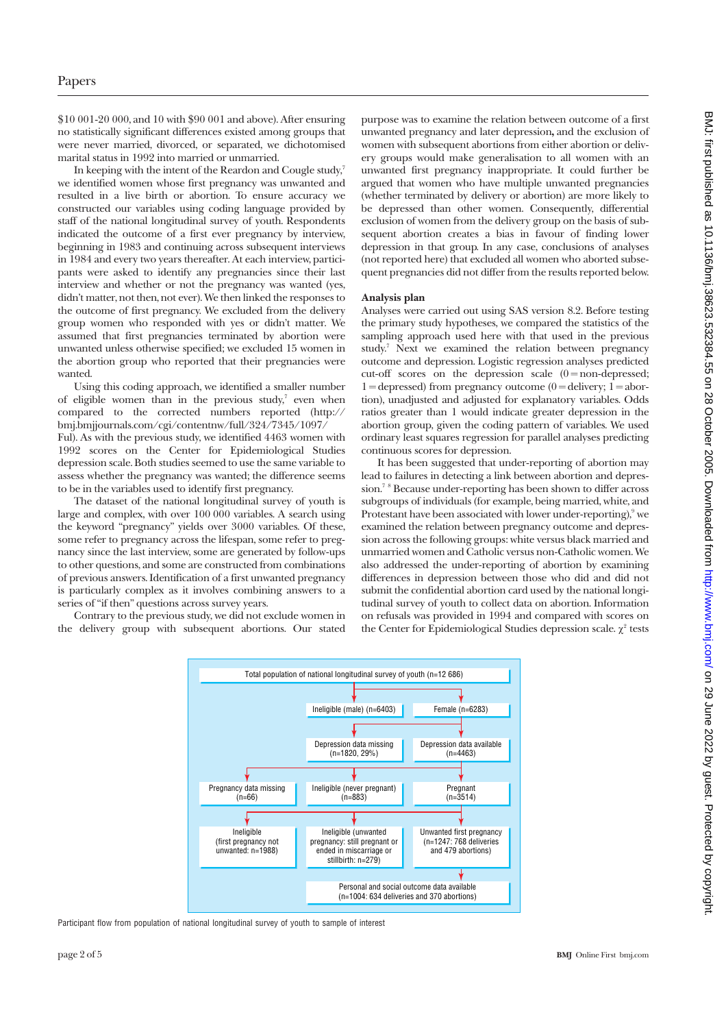\$10 001-20 000, and 10 with \$90 001 and above). After ensuring no statistically significant differences existed among groups that were never married, divorced, or separated, we dichotomised marital status in 1992 into married or unmarried.

In keeping with the intent of the Reardon and Cougle study, $7$ we identified women whose first pregnancy was unwanted and resulted in a live birth or abortion. To ensure accuracy we constructed our variables using coding language provided by staff of the national longitudinal survey of youth. Respondents indicated the outcome of a first ever pregnancy by interview, beginning in 1983 and continuing across subsequent interviews in 1984 and every two years thereafter. At each interview, participants were asked to identify any pregnancies since their last interview and whether or not the pregnancy was wanted (yes, didn't matter, not then, not ever). We then linked the responses to the outcome of first pregnancy. We excluded from the delivery group women who responded with yes or didn't matter. We assumed that first pregnancies terminated by abortion were unwanted unless otherwise specified; we excluded 15 women in the abortion group who reported that their pregnancies were wanted.

Using this coding approach, we identified a smaller number of eligible women than in the previous study, $\bar{y}$  even when compared to the corrected numbers reported (http:// bmj.bmjjournals.com/cgi/contentnw/full/324/7345/1097/ Ful). As with the previous study, we identified 4463 women with 1992 scores on the Center for Epidemiological Studies depression scale. Both studies seemed to use the same variable to assess whether the pregnancy was wanted; the difference seems to be in the variables used to identify first pregnancy.

The dataset of the national longitudinal survey of youth is large and complex, with over 100 000 variables. A search using the keyword "pregnancy" yields over 3000 variables. Of these, some refer to pregnancy across the lifespan, some refer to pregnancy since the last interview, some are generated by follow-ups to other questions, and some are constructed from combinations of previous answers. Identification of a first unwanted pregnancy is particularly complex as it involves combining answers to a series of "if then" questions across survey years.

Contrary to the previous study, we did not exclude women in the delivery group with subsequent abortions. Our stated purpose was to examine the relation between outcome of a first unwanted pregnancy and later depression**,** and the exclusion of women with subsequent abortions from either abortion or delivery groups would make generalisation to all women with an unwanted first pregnancy inappropriate. It could further be argued that women who have multiple unwanted pregnancies (whether terminated by delivery or abortion) are more likely to be depressed than other women. Consequently, differential exclusion of women from the delivery group on the basis of subsequent abortion creates a bias in favour of finding lower depression in that group. In any case, conclusions of analyses (not reported here) that excluded all women who aborted subsequent pregnancies did not differ from the results reported below.

#### **Analysis plan**

Analyses were carried out using SAS version 8.2. Before testing the primary study hypotheses, we compared the statistics of the sampling approach used here with that used in the previous study.7 Next we examined the relation between pregnancy outcome and depression. Logistic regression analyses predicted cut-off scores on the depression scale  $(0 = non-depressed;$ 1 = depressed) from pregnancy outcome  $(0 =$  delivery; 1 = abortion), unadjusted and adjusted for explanatory variables. Odds ratios greater than 1 would indicate greater depression in the abortion group, given the coding pattern of variables. We used ordinary least squares regression for parallel analyses predicting continuous scores for depression.

It has been suggested that under-reporting of abortion may lead to failures in detecting a link between abortion and depression.7 8 Because under-reporting has been shown to differ across subgroups of individuals (for example, being married, white, and Protestant have been associated with lower under-reporting), $9$  we examined the relation between pregnancy outcome and depression across the following groups: white versus black married and unmarried women and Catholic versus non-Catholic women. We also addressed the under-reporting of abortion by examining differences in depression between those who did and did not submit the confidential abortion card used by the national longitudinal survey of youth to collect data on abortion. Information on refusals was provided in 1994 and compared with scores on the Center for Epidemiological Studies depression scale.  $\chi^2$  tests



Participant flow from population of national longitudinal survey of youth to sample of interest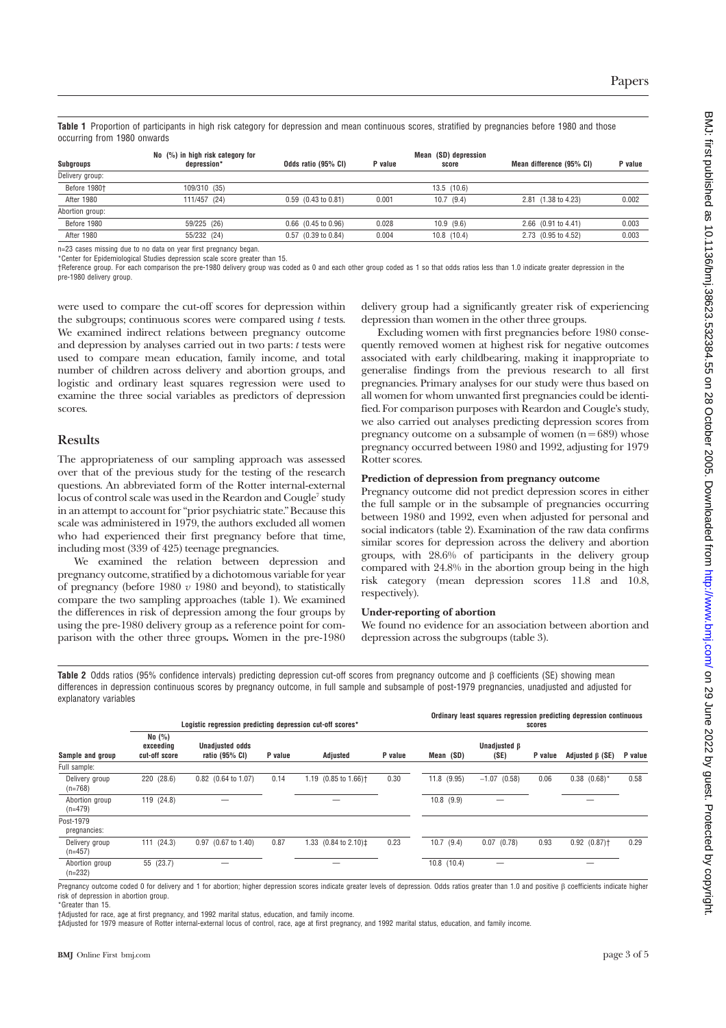**Table 1** Proportion of participants in high risk category for depression and mean continuous scores, stratified by pregnancies before 1980 and those occurring from 1980 onwards

|                          | No (%) in high risk category for |                                  |         | Mean (SD) depression |                          |         |
|--------------------------|----------------------------------|----------------------------------|---------|----------------------|--------------------------|---------|
| <b>Subgroups</b>         | depression*                      | Odds ratio (95% CI)              | P value | score                | Mean difference (95% CI) | P value |
| Delivery group:          |                                  |                                  |         |                      |                          |         |
| Before 1980 <sup>+</sup> | 109/310 (35)                     |                                  |         | 13.5(10.6)           |                          |         |
| After 1980               | 111/457 (24)                     | $0.59$ $(0.43$ to $0.81)$        | 0.001   | 10.7(9.4)            | 2.81 (1.38 to 4.23)      | 0.002   |
| Abortion group:          |                                  |                                  |         |                      |                          |         |
| Before 1980              | 59/225 (26)                      | $0.66$ $(0.45 \text{ to } 0.96)$ | 0.028   | 10.9(9.6)            | 2.66 (0.91 to 4.41)      | 0.003   |
| After 1980               | 55/232 (24)                      | 0.57 (0.39 to 0.84)              | 0.004   | $10.8$ $(10.4)$      | 2.73 (0.95 to 4.52)      | 0.003   |

n=23 cases missing due to no data on year first pregnancy began.

\*Center for Epidemiological Studies depression scale score greater than 15.

†Reference group. For each comparison the pre-1980 delivery group was coded as 0 and each other group coded as 1 so that odds ratios less than 1.0 indicate greater depression in the pre-1980 delivery group.

were used to compare the cut-off scores for depression within the subgroups; continuous scores were compared using *t* tests. We examined indirect relations between pregnancy outcome and depression by analyses carried out in two parts: *t* tests were used to compare mean education, family income, and total number of children across delivery and abortion groups, and logistic and ordinary least squares regression were used to examine the three social variables as predictors of depression scores.

# **Results**

The appropriateness of our sampling approach was assessed over that of the previous study for the testing of the research questions. An abbreviated form of the Rotter internal-external locus of control scale was used in the Reardon and Cougle<sup>7</sup> study in an attempt to account for "prior psychiatric state." Because this scale was administered in 1979, the authors excluded all women who had experienced their first pregnancy before that time, including most (339 of 425) teenage pregnancies.

We examined the relation between depression and pregnancy outcome, stratified by a dichotomous variable for year of pregnancy (before 1980 *v* 1980 and beyond), to statistically compare the two sampling approaches (table 1). We examined the differences in risk of depression among the four groups by using the pre-1980 delivery group as a reference point for comparison with the other three groups**.** Women in the pre-1980 delivery group had a significantly greater risk of experiencing depression than women in the other three groups.

Excluding women with first pregnancies before 1980 consequently removed women at highest risk for negative outcomes associated with early childbearing, making it inappropriate to generalise findings from the previous research to all first pregnancies. Primary analyses for our study were thus based on all women for whom unwanted first pregnancies could be identified. For comparison purposes with Reardon and Cougle's study, we also carried out analyses predicting depression scores from pregnancy outcome on a subsample of women  $(n = 689)$  whose pregnancy occurred between 1980 and 1992, adjusting for 1979 Rotter scores.

#### **Prediction of depression from pregnancy outcome**

Pregnancy outcome did not predict depression scores in either the full sample or in the subsample of pregnancies occurring between 1980 and 1992, even when adjusted for personal and social indicators (table 2). Examination of the raw data confirms similar scores for depression across the delivery and abortion groups, with 28.6% of participants in the delivery group compared with 24.8% in the abortion group being in the high risk category (mean depression scores 11.8 and 10.8, respectively).

#### **Under-reporting of abortion**

We found no evidence for an association between abortion and depression across the subgroups (table 3).

**Table 2** Odds ratios (95% confidence intervals) predicting depression cut-off scores from pregnancy outcome and  $\beta$  coefficients (SE) showing mean differences in depression continuous scores by pregnancy outcome, in full sample and subsample of post-1979 pregnancies, unadjusted and adjusted for explanatory variables

|                             | Logistic regression predicting depression cut-off scores* |                                          |         |                                             |         | Ordinary least squares regression predicting depression continuous<br>scores |                            |         |                              |         |
|-----------------------------|-----------------------------------------------------------|------------------------------------------|---------|---------------------------------------------|---------|------------------------------------------------------------------------------|----------------------------|---------|------------------------------|---------|
| Sample and group            | No $(\% )$<br>exceeding<br>cut-off score                  | <b>Unadjusted odds</b><br>ratio (95% CI) | P value | Adjusted                                    | P value | Mean (SD)                                                                    | Unadjusted $\beta$<br>(SE) | P value | Adjusted $\beta$ (SE)        | P value |
| Full sample:                |                                                           |                                          |         |                                             |         |                                                                              |                            |         |                              |         |
| Delivery group<br>$(n=768)$ | 220(28.6)                                                 | $0.82$ $(0.64 \text{ to } 1.07)$         | 0.14    | 1.19 (0.85 to 1.66) <sup>+</sup>            | 0.30    | $11.8$ (9.95)                                                                | $-1.07$ (0.58)             | 0.06    | $0.38$ $(0.68)^*$            | 0.58    |
| Abortion group<br>$(n=479)$ | 119 (24.8)                                                |                                          |         |                                             |         | $10.8$ (9.9)                                                                 |                            |         |                              |         |
| Post-1979<br>pregnancies:   |                                                           |                                          |         |                                             |         |                                                                              |                            |         |                              |         |
| Delivery group<br>$(n=457)$ | 111(24.3)                                                 | 0.97 (0.67 to 1.40)                      | 0.87    | 1.33 $(0.84 \text{ to } 2.10)$ <sup>±</sup> | 0.23    | $10.7$ (9.4)                                                                 | $0.07$ $(0.78)$            | 0.93    | $0.92$ $(0.87)$ <sup>+</sup> | 0.29    |
| Abortion group<br>$(n=232)$ | 55 (23.7)                                                 |                                          |         |                                             |         | $10.8$ $(10.4)$                                                              | --                         |         |                              |         |

Pregnancy outcome coded 0 for delivery and 1 for abortion; higher depression scores indicate greater levels of depression. Odds ratios greater than 1.0 and positive  $\beta$  coefficients indicate higher risk of depression in abortion group. \*Greater than 15.

†Adjusted for race, age at first pregnancy, and 1992 marital status, education, and family income.

‡Adjusted for 1979 measure of Rotter internal-external locus of control, race, age at first pregnancy, and 1992 marital status, education, and family income.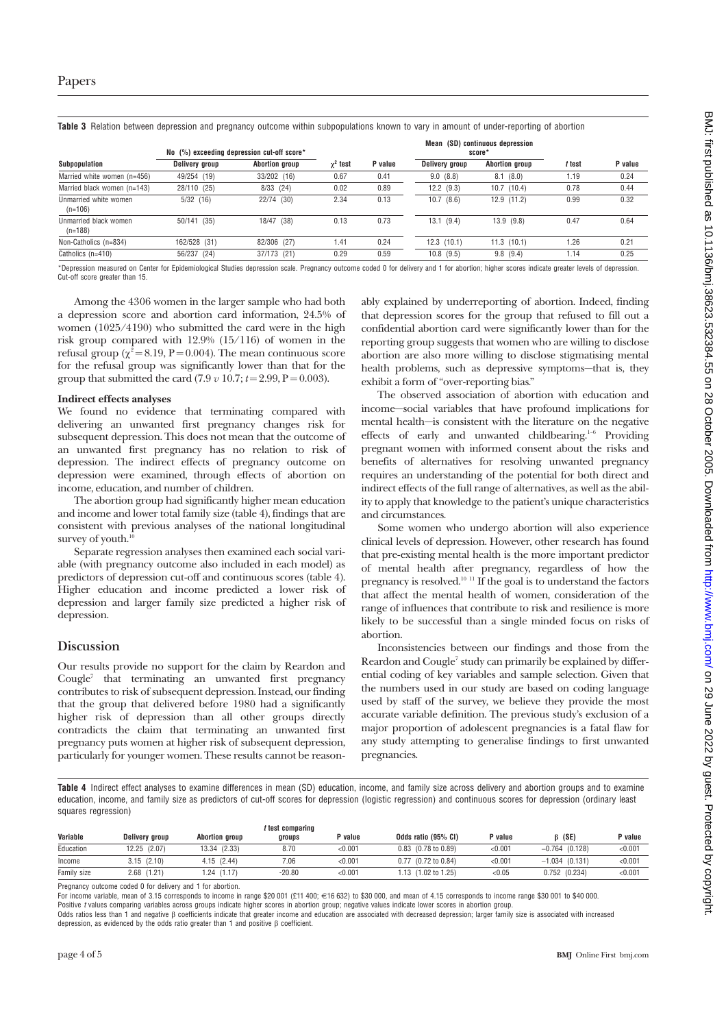|                                    | No (%) exceeding depression cut-off score* |                       |                 |         | Mean (SD) continuous depression<br>score* |                       |        |         |
|------------------------------------|--------------------------------------------|-----------------------|-----------------|---------|-------------------------------------------|-----------------------|--------|---------|
| Subpopulation                      | Delivery group                             | <b>Abortion group</b> | $\gamma^2$ test | P value | Delivery group                            | <b>Abortion group</b> | t test | P value |
| Married white women (n=456)        | 49/254 (19)                                | 33/202 (16)           | 0.67            | 0.41    | 9.0(8.8)                                  | (8.0)<br>8.1          | 1.19   | 0.24    |
| Married black women (n=143)        | 28/110 (25)                                | 8/33 (24)             | 0.02            | 0.89    | $12.2$ (9.3)                              | 10.7<br>(10.4)        | 0.78   | 0.44    |
| Unmarried white women<br>$(n=106)$ | $5/32$ (16)                                | 22/74 (30)            | 2.34            | 0.13    | 10.7(8.6)                                 | 12.9(11.2)            | 0.99   | 0.32    |
| Unmarried black women<br>$(n=188)$ | 50/141 (35)                                | 18/47 (38)            | 0.13            | 0.73    | 13.1(9.4)                                 | 13.9(9.8)             | 0.47   | 0.64    |
| Non-Catholics (n=834)              | 162/528 (31)                               | 82/306 (27)           | 1.41            | 0.24    | 12.3(10.1)                                | 11.3(10.1)            | 1.26   | 0.21    |
| Catholics (n=410)                  | 56/237 (24)                                | 37/173 (21)           | 0.29            | 0.59    | $10.8$ (9.5)                              | 9.8(9.4)              | 1.14   | 0.25    |

**Table 3** Relation between depression and pregnancy outcome within subpopulations known to vary in amount of under-reporting of abortion

\*Depression measured on Center for Epidemiological Studies depression scale. Pregnancy outcome coded 0 for delivery and 1 for abortion; higher scores indicate greater levels of depression. Cut-off score greater than 15.

Among the 4306 women in the larger sample who had both a depression score and abortion card information, 24.5% of women (1025/4190) who submitted the card were in the high risk group compared with 12.9% (15/116) of women in the refusal group ( $\chi^2 = 8.19$ , P = 0.004). The mean continuous score for the refusal group was significantly lower than that for the group that submitted the card  $(7.9 \, v \, 10.7; t = 2.99, P = 0.003)$ .

#### **Indirect effects analyses**

We found no evidence that terminating compared with delivering an unwanted first pregnancy changes risk for subsequent depression. This does not mean that the outcome of an unwanted first pregnancy has no relation to risk of depression. The indirect effects of pregnancy outcome on depression were examined, through effects of abortion on income, education, and number of children.

The abortion group had significantly higher mean education and income and lower total family size (table 4), findings that are consistent with previous analyses of the national longitudinal survey of youth.<sup>10</sup>

Separate regression analyses then examined each social variable (with pregnancy outcome also included in each model) as predictors of depression cut-off and continuous scores (table 4). Higher education and income predicted a lower risk of depression and larger family size predicted a higher risk of depression.

## **Discussion**

Our results provide no support for the claim by Reardon and Cougle7 that terminating an unwanted first pregnancy contributes to risk of subsequent depression. Instead, our finding that the group that delivered before 1980 had a significantly higher risk of depression than all other groups directly contradicts the claim that terminating an unwanted first pregnancy puts women at higher risk of subsequent depression, particularly for younger women. These results cannot be reasonably explained by underreporting of abortion. Indeed, finding that depression scores for the group that refused to fill out a confidential abortion card were significantly lower than for the reporting group suggests that women who are willing to disclose abortion are also more willing to disclose stigmatising mental health problems, such as depressive symptoms—that is, they exhibit a form of "over-reporting bias."

The observed association of abortion with education and income—social variables that have profound implications for mental health—is consistent with the literature on the negative effects of early and unwanted childbearing.<sup>1-6</sup> Providing pregnant women with informed consent about the risks and benefits of alternatives for resolving unwanted pregnancy requires an understanding of the potential for both direct and indirect effects of the full range of alternatives, as well as the ability to apply that knowledge to the patient's unique characteristics and circumstances.

Some women who undergo abortion will also experience clinical levels of depression. However, other research has found that pre-existing mental health is the more important predictor of mental health after pregnancy, regardless of how the pregnancy is resolved.10 11 If the goal is to understand the factors that affect the mental health of women, consideration of the range of influences that contribute to risk and resilience is more likely to be successful than a single minded focus on risks of abortion.

Inconsistencies between our findings and those from the Reardon and Cougle<sup>7</sup> study can primarily be explained by differential coding of key variables and sample selection. Given that the numbers used in our study are based on coding language used by staff of the survey, we believe they provide the most accurate variable definition. The previous study's exclusion of a major proportion of adolescent pregnancies is a fatal flaw for any study attempting to generalise findings to first unwanted pregnancies.

**Table 4** Indirect effect analyses to examine differences in mean (SD) education, income, and family size across delivery and abortion groups and to examine education, income, and family size as predictors of cut-off scores for depression (logistic regression) and continuous scores for depression (ordinary least squares regression)

|             |                  |                       | t test comparing |         |                                  |         |                  |         |  |
|-------------|------------------|-----------------------|------------------|---------|----------------------------------|---------|------------------|---------|--|
| Variable    | Delivery group   | <b>Abortion aroup</b> | groups           | P value | Odds ratio (95% CI)              | P value | $\beta$ (SE)     | P value |  |
| Education   | $12.25$ $(2.07)$ | 13.34 (2.33)          | 8.70             | < 0.001 | $0.83$ $(0.78 \text{ to } 0.89)$ | < 0.001 | $-0.764$ (0.128) | < 0.001 |  |
| Income      | 3.15(2.10)       | 4.15(2.44)            | 7.06             | < 0.001 | 0.77 (0.72 to 0.84)              | < 0.001 | $-1.034(0.131)$  | < 0.001 |  |
| Family size | 2.68(1.21)       | (1.17)<br>.24         | $-20.80$         | < 0.001 | 1.13 (1.02 to 1.25)              | < 0.05  | 0.752(0.234)     | < 0.001 |  |

Pregnancy outcome coded 0 for delivery and 1 for abortion.

For income variable, mean of 3.15 corresponds to income in range \$20 001 (£11 400;  $\epsilon$ 16 632) to \$30 000, and mean of 4.15 corresponds to income range \$30 001 to \$40 000

Positive t values comparing variables across groups indicate higher scores in abortion group; negative values indicate lower scores in abortion group.

Odds ratios less than 1 and negative ß coefficients indicate that greater income and education are associated with decreased depression; larger family size is associated with increased depression, as evidenced by the odds ratio greater than 1 and positive  $\beta$  coefficient.